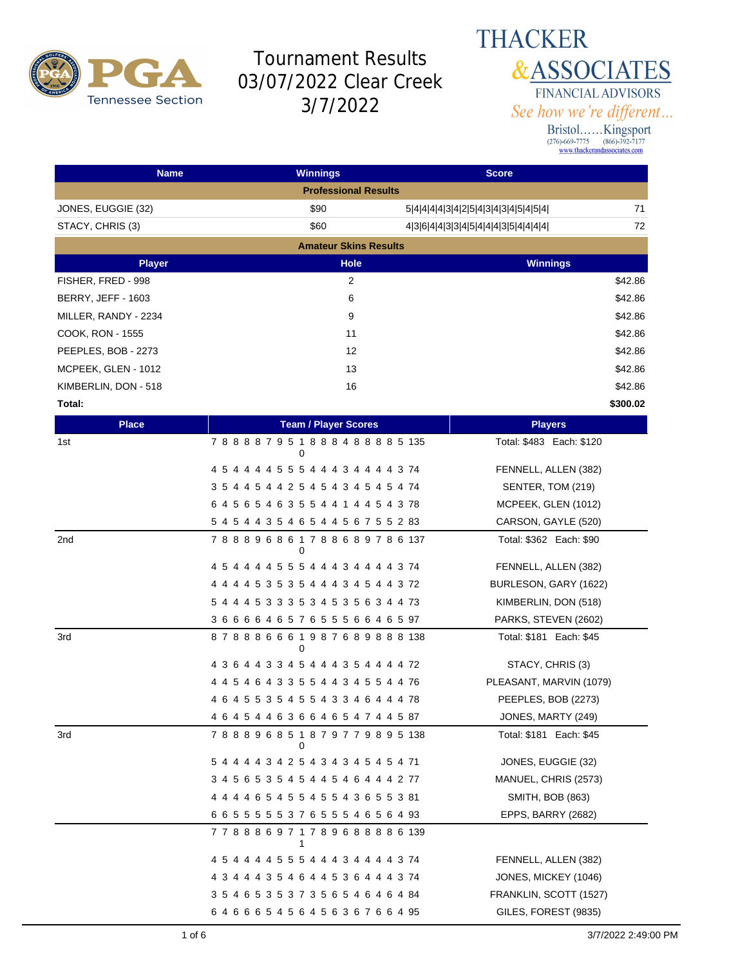

#### **THACKER &ASSOCIATES** FINANCIAL ADVISORS See how we're different...

| <b>Name</b>          | <b>Winnings</b>                         | <b>Score</b>                              |
|----------------------|-----------------------------------------|-------------------------------------------|
|                      | <b>Professional Results</b>             |                                           |
| JONES, EUGGIE (32)   | \$90                                    | 71<br>5 4 4 4 4 3 4 2 5 4 3 4 3 4 5 4 5 4 |
| STACY, CHRIS (3)     | \$60                                    | 72<br>4364433454443544444                 |
|                      | <b>Amateur Skins Results</b>            |                                           |
| <b>Player</b>        | Hole                                    | <b>Winnings</b>                           |
| FISHER, FRED - 998   | $\overline{2}$                          | \$42.86                                   |
| BERRY, JEFF - 1603   | 6                                       | \$42.86                                   |
| MILLER, RANDY - 2234 | 9                                       | \$42.86                                   |
| COOK, RON - 1555     | 11                                      | \$42.86                                   |
| PEEPLES, BOB - 2273  | 12                                      | \$42.86                                   |
| MCPEEK, GLEN - 1012  | 13                                      | \$42.86                                   |
| KIMBERLIN, DON - 518 | 16                                      | \$42.86                                   |
| Total:               |                                         | \$300.02                                  |
| <b>Place</b>         | <b>Team / Player Scores</b>             | <b>Players</b>                            |
| 1st                  | 788887951888488885135<br>0              | Total: \$483 Each: \$120                  |
|                      | 4 5 4 4 4 4 5 5 5 4 4 4 3 4 4 4 4 3 74  | FENNELL, ALLEN (382)                      |
|                      | 3 5 4 4 5 4 4 2 5 4 5 4 3 4 5 4 5 4 74  | SENTER, TOM (219)                         |
|                      | 6 4 5 6 5 4 6 3 5 5 4 4 1 4 4 5 4 3 78  | MCPEEK, GLEN (1012)                       |
|                      | 5 4 5 4 4 3 5 4 6 5 4 4 5 6 7 5 5 2 83  | CARSON, GAYLE (520)                       |
| 2nd                  | 788896861788689786137<br>0              | Total: \$362 Each: \$90                   |
|                      | 4 5 4 4 4 4 5 5 5 4 4 4 3 4 4 4 4 3 74  | FENNELL, ALLEN (382)                      |
|                      | 4 4 4 4 5 3 5 3 5 4 4 4 3 4 5 4 4 3 72  | BURLESON, GARY (1622)                     |
|                      | 5 4 4 4 5 3 3 3 5 3 4 5 3 5 6 3 4 4 73  | KIMBERLIN, DON (518)                      |
|                      | 36666465765556646597                    | PARKS, STEVEN (2602)                      |
| 3rd                  | 878886661987689888138<br>0              | Total: \$181 Each: \$45                   |
|                      | 4 3 6 4 4 3 3 4 5 4 4 4 3 5 4 4 4 4 72  | STACY, CHRIS (3)                          |
|                      | 4 4 5 4 6 4 3 3 5 5 4 4 3 4 5 5 4 4 76  | PLEASANT, MARVIN (1079)                   |
|                      | 4 6 4 5 5 3 5 4 5 5 4 3 3 4 6 4 4 4 78  | PEEPLES, BOB (2273)                       |
|                      | 4 6 4 5 4 4 6 3 6 6 4 6 5 4 7 4 4 5 87  | JONES, MARTY (249)                        |
| 3rd                  | 788896851879779895138<br>0              | Total: \$181 Each: \$45                   |
|                      | 5 4 4 4 4 3 4 2 5 4 3 4 3 4 5 4 5 4 71  | JONES, EUGGIE (32)                        |
|                      | 3 4 5 6 5 3 5 4 5 4 4 5 4 6 4 4 4 2 77  | MANUEL, CHRIS (2573)                      |
|                      | 4 4 4 4 6 5 4 5 5 4 5 5 4 3 6 5 5 3 81  | <b>SMITH, BOB (863)</b>                   |
|                      | 6 6 5 5 5 5 5 3 7 6 5 5 5 4 6 5 6 4 93  | EPPS, BARRY (2682)                        |
|                      | 7 7 8 8 8 6 9 7 1 7 8 9 6 8 8 8 8 6 139 |                                           |
|                      | 4 5 4 4 4 4 5 5 5 4 4 4 3 4 4 4 4 3 74  | FENNELL, ALLEN (382)                      |
|                      | 4 3 4 4 4 3 5 4 6 4 4 5 3 6 4 4 4 3 74  | JONES, MICKEY (1046)                      |
|                      | 3 5 4 6 5 3 5 3 7 3 5 6 5 4 6 4 6 4 84  | FRANKLIN, SCOTT (1527)                    |
|                      | 64666545645636766495                    | GILES, FOREST (9835)                      |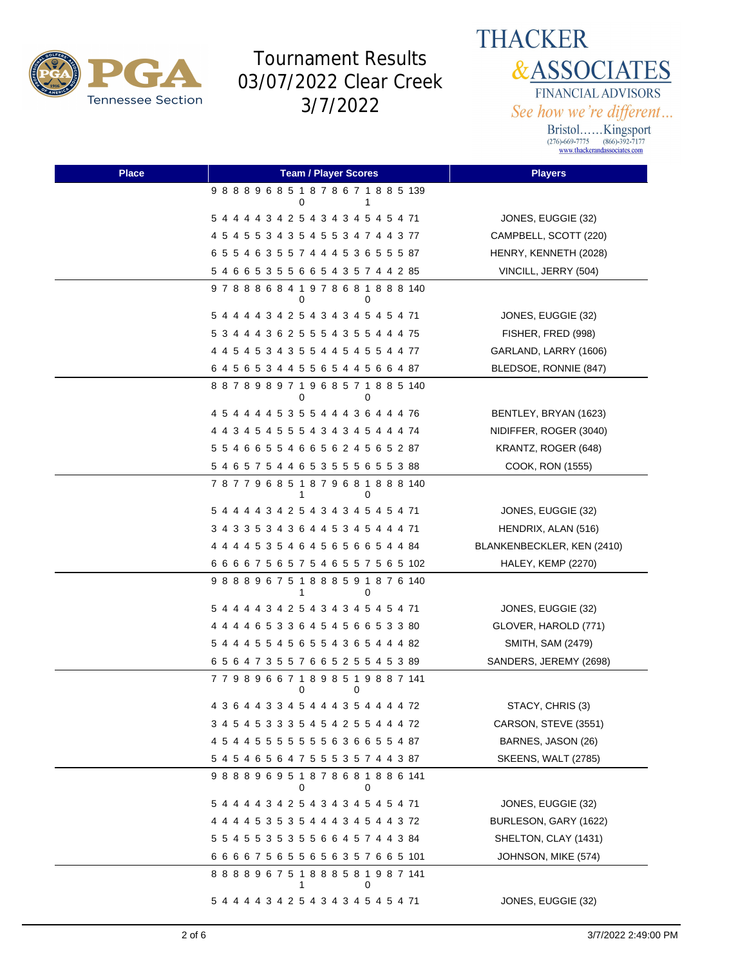

**THACKER &ASSOCIATES** FINANCIAL ADVISORS See how we're different...

| <b>Place</b> | <b>Team / Player Scores</b>                       | <b>Players</b>             |
|--------------|---------------------------------------------------|----------------------------|
|              | 988896851878671885139<br>0                        |                            |
|              | 5 4 4 4 4 3 4 2 5 4 3 4 3 4 5 4 5 4 71            | JONES, EUGGIE (32)         |
|              | 4 5 4 5 5 3 4 3 5 4 5 5 3 4 7 4 4 3 77            | CAMPBELL, SCOTT (220)      |
|              | 6 5 5 4 6 3 5 5 7 4 4 4 5 3 6 5 5 5 87            | HENRY, KENNETH (2028)      |
|              | 5 4 6 6 5 3 5 5 6 6 5 4 3 5 7 4 4 2 85            | VINCILL, JERRY (504)       |
|              | 978886841978681888140<br>0<br>0                   |                            |
|              | 5 4 4 4 4 3 4 2 5 4 3 4 3 4 5 4 5 4 71            | JONES, EUGGIE (32)         |
|              | 5 3 4 4 4 3 6 2 5 5 5 4 3 5 5 4 4 4 75            | FISHER, FRED (998)         |
|              | 4 4 5 4 5 3 4 3 5 5 4 4 5 4 5 5 4 4 77            | GARLAND, LARRY (1606)      |
|              | 6 4 5 6 5 3 4 4 5 5 6 5 4 4 5 6 6 4 87            | BLEDSOE, RONNIE (847)      |
|              | 887898971968571885140<br>0<br>0                   |                            |
|              | 4 5 4 4 4 4 5 3 5 5 4 4 4 3 6 4 4 4 76            | BENTLEY, BRYAN (1623)      |
|              | 4 4 3 4 5 4 5 5 5 4 3 4 3 4 5 4 4 4 74            | NIDIFFER, ROGER (3040)     |
|              | 5 5 4 6 6 5 5 4 6 6 5 6 2 4 5 6 5 2 87            | KRANTZ, ROGER (648)        |
|              | 5 4 6 5 7 5 4 4 6 5 3 5 5 5 6 5 5 3 88            | COOK, RON (1555)           |
|              | 787796851879681888140                             |                            |
|              | 5 4 4 4 4 3 4 2 5 4 3 4 3 4 5 4 5 4 71            | JONES, EUGGIE (32)         |
|              | 3 4 3 3 5 3 4 3 6 4 4 5 3 4 5 4 4 4 71            | HENDRIX, ALAN (516)        |
|              | 4 4 4 4 5 3 5 4 6 4 5 6 5 6 6 5 4 4 84            | BLANKENBECKLER, KEN (2410) |
|              | 6 6 6 6 7 5 6 5 7 5 4 6 5 5 7 5 6 5 102           | HALEY, KEMP (2270)         |
|              | 988896751888591876140<br>1<br>0                   |                            |
|              | 5 4 4 4 4 3 4 2 5 4 3 4 3 4 5 4 5 4 71            | JONES, EUGGIE (32)         |
|              | 4 4 4 4 6 5 3 3 6 4 5 4 5 6 6 5 3 3 80            | GLOVER, HAROLD (771)       |
|              | 5 4 4 4 5 5 4 5 6 5 5 4 3 6 5 4 4 4 82            | SMITH, SAM (2479)          |
|              | 6 5 6 4 7 3 5 5 7 6 6 5 2 5 5 4 5 3 89            | SANDERS, JEREMY (2698)     |
|              | 7 7 9 8 9 6 6 7 1 8 9 8 5 1 9 8 8 7 141<br>0<br>0 |                            |
|              | 4 3 6 4 4 3 3 4 5 4 4 4 3 5 4 4 4 4 72            | STACY, CHRIS (3)           |
|              | 3 4 5 4 5 3 3 3 5 4 5 4 2 5 5 4 4 4 72            | CARSON, STEVE (3551)       |
|              | 4 5 4 4 5 5 5 5 5 5 5 6 3 6 6 5 5 4 87            | BARNES, JASON (26)         |
|              | 5 4 5 4 6 5 6 4 7 5 5 5 3 5 7 4 4 3 87            | <b>SKEENS, WALT (2785)</b> |
|              | 988896951878681886141<br>0<br>0                   |                            |
|              | 5 4 4 4 4 3 4 2 5 4 3 4 3 4 5 4 5 4 71            | JONES, EUGGIE (32)         |
|              | 4 4 4 4 5 3 5 3 5 4 4 4 3 4 5 4 4 3 72            | BURLESON, GARY (1622)      |
|              | 5 5 4 5 5 3 5 3 5 5 6 6 4 5 7 4 4 3 84            | SHELTON, CLAY (1431)       |
|              | 666675655656357665101                             | JOHNSON, MIKE (574)        |
|              | 888896751888581987141                             |                            |
|              | 5 4 4 4 4 3 4 2 5 4 3 4 3 4 5 4 5 4 71            | JONES, EUGGIE (32)         |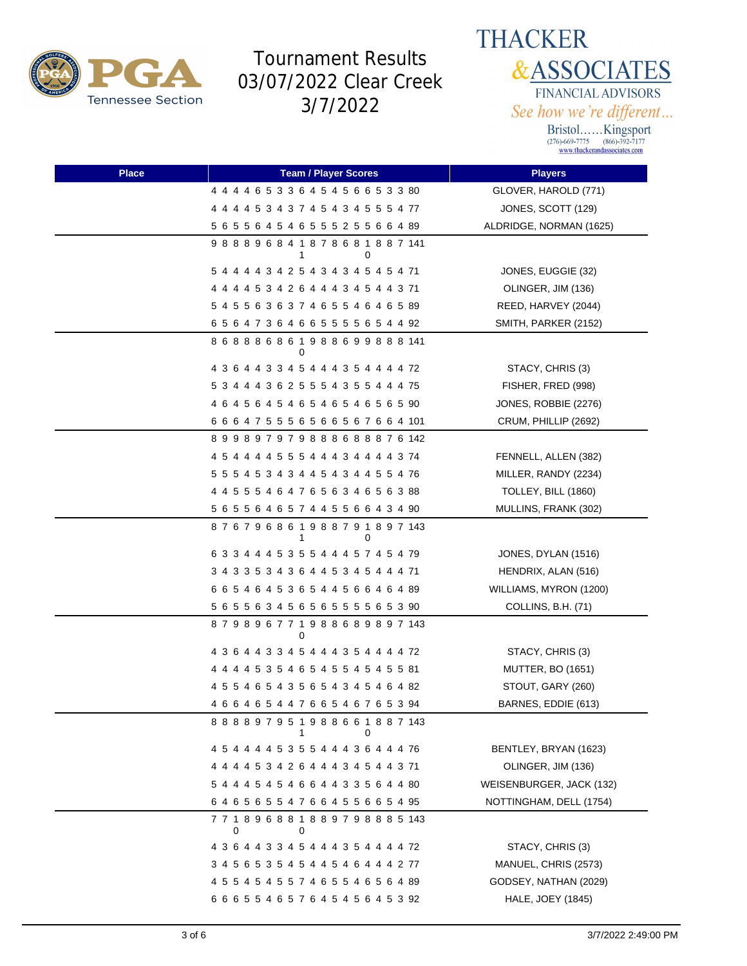



| <b>Place</b> | <b>Team / Player Scores</b>                       | <b>Players</b>           |
|--------------|---------------------------------------------------|--------------------------|
|              | 4 4 4 4 6 5 3 3 6 4 5 4 5 6 6 5 3 3 80            | GLOVER, HAROLD (771)     |
|              | 4 4 4 4 5 3 4 3 7 4 5 4 3 4 5 5 5 4 77            | JONES, SCOTT (129)       |
|              | 5 6 5 5 6 4 5 4 6 5 5 5 2 5 5 6 6 4 89            | ALDRIDGE, NORMAN (1625)  |
|              | 988896841878681887141<br>0<br>1                   |                          |
|              | 5 4 4 4 4 3 4 2 5 4 3 4 3 4 5 4 5 4 71            | JONES, EUGGIE (32)       |
|              | 4 4 4 4 5 3 4 2 6 4 4 4 3 4 5 4 4 3 71            | OLINGER, JIM (136)       |
|              | 5 4 5 5 6 3 6 3 7 4 6 5 5 4 6 4 6 5 89            | REED, HARVEY (2044)      |
|              | 65647364665555654492                              | SMITH, PARKER (2152)     |
|              | 868886861988699888141<br>0                        |                          |
|              | 4 3 6 4 4 3 3 4 5 4 4 4 3 5 4 4 4 4 72            | STACY, CHRIS (3)         |
|              | 5 3 4 4 4 3 6 2 5 5 5 4 3 5 5 4 4 4 75            | FISHER, FRED (998)       |
|              | 4 6 4 5 6 4 5 4 6 5 4 6 5 4 6 5 6 5 90            | JONES, ROBBIE (2276)     |
|              | 6 6 6 4 7 5 5 5 6 5 6 6 5 6 7 6 6 4 101           | CRUM, PHILLIP (2692)     |
|              | 899897979888688876142                             |                          |
|              | 4 5 4 4 4 4 5 5 5 4 4 4 3 4 4 4 4 3 74            | FENNELL, ALLEN (382)     |
|              | 5 5 5 4 5 3 4 3 4 4 5 4 3 4 4 5 5 4 76            | MILLER, RANDY (2234)     |
|              | 4 4 5 5 5 4 6 4 7 6 5 6 3 4 6 5 6 3 88            | TOLLEY, BILL (1860)      |
|              | 5 6 5 5 6 4 6 5 7 4 4 5 5 6 6 4 3 4 90            | MULLINS, FRANK (302)     |
|              | 876796861988791897143                             |                          |
|              | 6 3 3 4 4 4 5 3 5 5 4 4 4 5 7 4 5 4 79            | JONES, DYLAN (1516)      |
|              | 3 4 3 3 5 3 4 3 6 4 4 5 3 4 5 4 4 4 71            | HENDRIX, ALAN (516)      |
|              | 6 6 5 4 6 4 5 3 6 5 4 4 5 6 6 4 6 4 89            | WILLIAMS, MYRON (1200)   |
|              | 5 6 5 5 6 3 4 5 6 5 6 5 5 5 5 6 5 3 90            | COLLINS, B.H. (71)       |
|              | 879896771988689897143<br>0                        |                          |
|              | 4 3 6 4 4 3 3 4 5 4 4 4 3 5 4 4 4 4 72            | STACY, CHRIS (3)         |
|              | 4 4 4 4 5 3 5 4 6 5 4 5 5 4 5 4 5 5 81            | <b>MUTTER, BO (1651)</b> |
|              | 4 5 5 4 6 5 4 3 5 6 5 4 3 4 5 4 6 4 82            | STOUT, GARY (260)        |
|              | 4 6 6 4 6 5 4 4 7 6 6 5 4 6 7 6 5 3 94            | BARNES, EDDIE (613)      |
|              | 888897951988661887143<br>0<br>1                   |                          |
|              | 4 5 4 4 4 4 5 3 5 5 4 4 4 3 6 4 4 4 76            | BENTLEY, BRYAN (1623)    |
|              | 4 4 4 4 5 3 4 2 6 4 4 4 3 4 5 4 4 3 71            | OLINGER, JIM (136)       |
|              | 5 4 4 4 5 4 5 4 6 6 4 4 3 3 5 6 4 4 80            | WEISENBURGER, JACK (132) |
|              | 6 4 6 5 6 5 5 4 7 6 6 4 5 5 6 6 5 4 95            | NOTTINGHAM, DELL (1754)  |
|              | 7 7 1 8 9 6 8 8 1 8 8 9 7 9 8 8 8 5 143<br>0<br>0 |                          |
|              | 4 3 6 4 4 3 3 4 5 4 4 4 3 5 4 4 4 4 72            | STACY, CHRIS (3)         |
|              | 3 4 5 6 5 3 5 4 5 4 4 5 4 6 4 4 4 2 77            | MANUEL, CHRIS (2573)     |
|              | 4 5 5 4 5 4 5 5 7 4 6 5 5 4 6 5 6 4 89            | GODSEY, NATHAN (2029)    |
|              | 6 6 6 5 5 4 6 5 7 6 4 5 4 5 6 4 5 3 92            | HALE, JOEY (1845)        |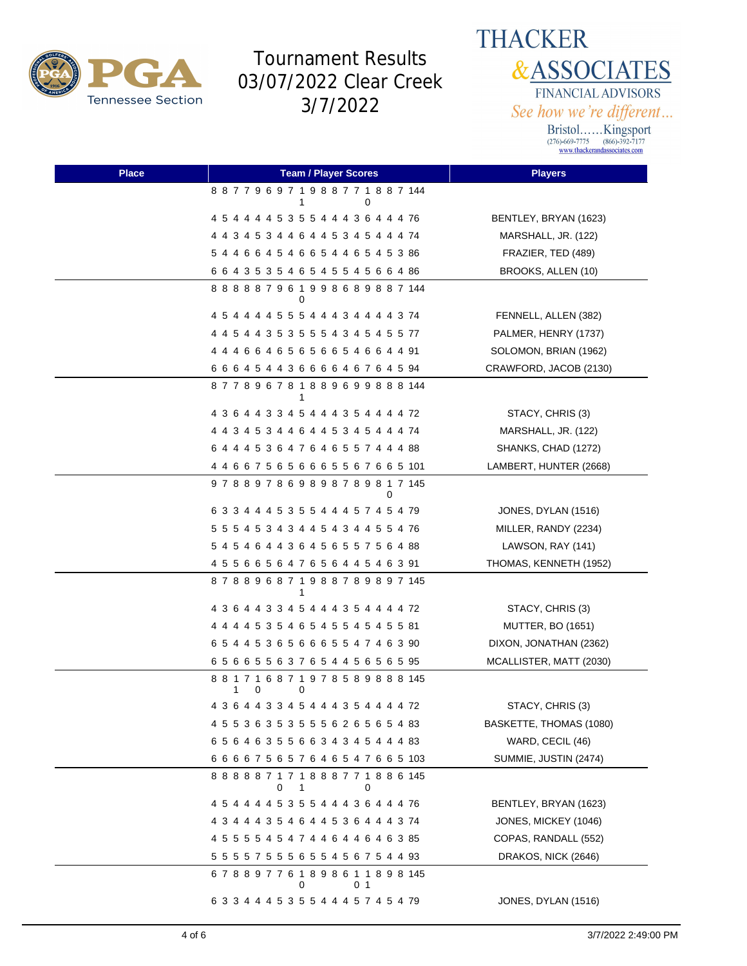

**THACKER &ASSOCIATES** FINANCIAL ADVISORS See how we're different...

| <b>Place</b> | <b>Team / Player Scores</b>                         | <b>Players</b>           |
|--------------|-----------------------------------------------------|--------------------------|
|              | 887796971988771887144<br>0<br>1                     |                          |
|              | 4 5 4 4 4 4 5 3 5 5 4 4 4 3 6 4 4 4 76              | BENTLEY, BRYAN (1623)    |
|              | 4 4 3 4 5 3 4 4 6 4 4 5 3 4 5 4 4 4 74              | MARSHALL, JR. (122)      |
|              | 5 4 4 6 6 4 5 4 6 6 5 4 4 6 5 4 5 3 86              | FRAZIER, TED (489)       |
|              | 6 6 4 3 5 3 5 4 6 5 4 5 5 4 5 6 6 4 86              | BROOKS, ALLEN (10)       |
|              | 888887961998689887144<br>0                          |                          |
|              | 4 5 4 4 4 4 5 5 5 4 4 4 3 4 4 4 4 3 74              | FENNELL, ALLEN (382)     |
|              | 4 4 5 4 4 3 5 3 5 5 5 4 3 4 5 4 5 5 77              | PALMER, HENRY (1737)     |
|              | 4 4 4 6 6 4 6 5 6 5 6 6 5 4 6 6 4 4 91              | SOLOMON, BRIAN (1962)    |
|              | 6 6 6 4 5 4 4 3 6 6 6 6 4 6 7 6 4 5 94              | CRAWFORD, JACOB (2130)   |
|              | 877896781889699888144                               |                          |
|              | 4 3 6 4 4 3 3 4 5 4 4 4 3 5 4 4 4 4 72              | STACY, CHRIS (3)         |
|              | 4 4 3 4 5 3 4 4 6 4 4 5 3 4 5 4 4 4 74              | MARSHALL, JR. (122)      |
|              | 6 4 4 4 5 3 6 4 7 6 4 6 5 5 7 4 4 4 88              | SHANKS, CHAD (1272)      |
|              | 4 4 6 6 7 5 6 5 6 6 6 5 5 6 7 6 6 5 101             | LAMBERT, HUNTER (2668)   |
|              | 978897869898789817145<br>0                          |                          |
|              | 6 3 3 4 4 4 5 3 5 5 4 4 4 5 7 4 5 4 79              | JONES, DYLAN (1516)      |
|              | 5 5 5 4 5 3 4 3 4 4 5 4 3 4 4 5 5 4 76              | MILLER, RANDY (2234)     |
|              | 5 4 5 4 6 4 4 3 6 4 5 6 5 5 7 5 6 4 88              | LAWSON, RAY (141)        |
|              | 4 5 5 6 6 5 6 4 7 6 5 6 4 4 5 4 6 3 91              | THOMAS, KENNETH (1952)   |
|              | 878896871988789897145<br>1                          |                          |
|              | 4 3 6 4 4 3 3 4 5 4 4 4 3 5 4 4 4 4 72              | STACY, CHRIS (3)         |
|              | 4 4 4 4 5 3 5 4 6 5 4 5 5 4 5 4 5 5 81              | <b>MUTTER, BO (1651)</b> |
|              | 6 5 4 4 5 3 6 5 6 6 6 5 5 4 7 4 6 3 90              | DIXON, JONATHAN (2362)   |
|              | 65665563765445656595                                | MCALLISTER, MATT (2030)  |
|              | 881716871978589888145<br>1<br>0<br>0                |                          |
|              | 4 3 6 4 4 3 3 4 5 4 4 4 3 5 4 4 4 4 72              | STACY, CHRIS (3)         |
|              | 4 5 5 3 6 3 5 3 5 5 5 6 2 6 5 6 5 4 83              | BASKETTE, THOMAS (1080)  |
|              | 6 5 6 4 6 3 5 5 6 6 3 4 3 4 5 4 4 4 83              | WARD, CECIL (46)         |
|              | 6 6 6 6 7 5 6 5 7 6 4 6 5 4 7 6 6 5 103             | SUMMIE, JUSTIN (2474)    |
|              | 888887171888771886145<br>0<br>-1<br>0               |                          |
|              | 4 5 4 4 4 4 5 3 5 5 4 4 4 3 6 4 4 4 76              | BENTLEY, BRYAN (1623)    |
|              | 4 3 4 4 4 3 5 4 6 4 4 5 3 6 4 4 4 3 74              | JONES, MICKEY (1046)     |
|              | 4 5 5 5 5 4 5 4 7 4 4 6 4 4 6 4 6 3 85              | COPAS, RANDALL (552)     |
|              | 5 5 5 5 7 5 5 5 6 5 5 4 5 6 7 5 4 4 93              | DRAKOS, NICK (2646)      |
|              | 6 7 8 8 9 7 7 6 1 8 9 8 6 1 1 8 9 8 145<br>0<br>0 1 |                          |
|              | 6 3 3 4 4 4 5 3 5 5 4 4 4 5 7 4 5 4 79              | JONES, DYLAN (1516)      |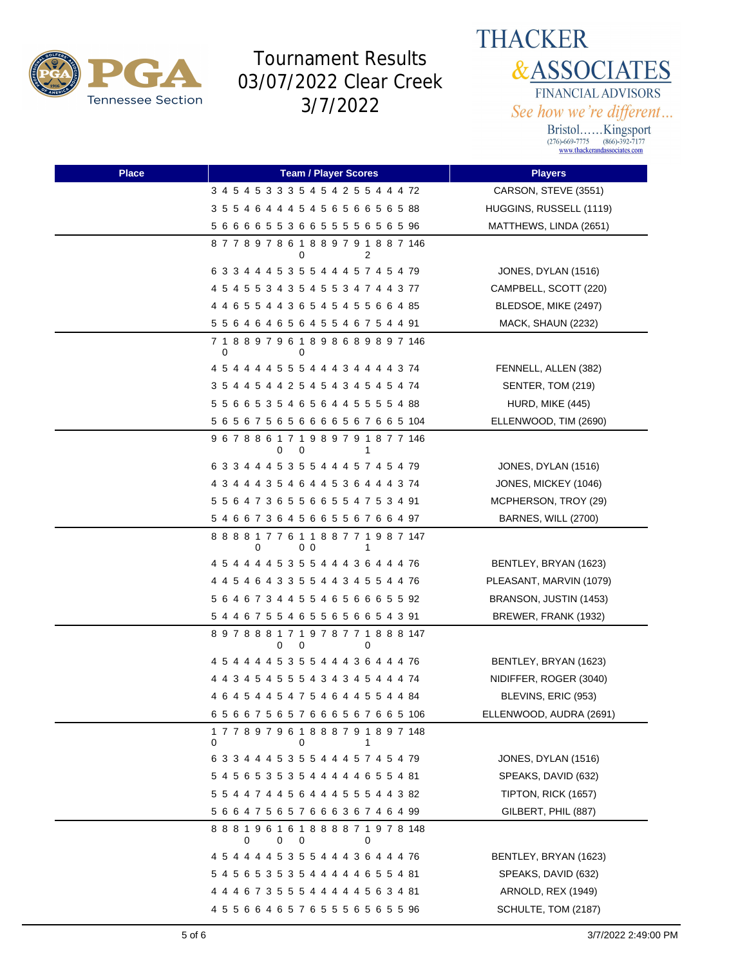



| <b>Place</b> | <b>Team / Player Scores</b>                                         | <b>Players</b>          |
|--------------|---------------------------------------------------------------------|-------------------------|
|              | 3 4 5 4 5 3 3 3 5 4 5 4 2 5 5 4 4 4 72                              | CARSON, STEVE (3551)    |
|              | 3 5 5 4 6 4 4 4 5 4 5 6 5 6 6 5 6 5 88                              | HUGGINS, RUSSELL (1119) |
|              | 5 6 6 6 6 5 5 3 6 6 5 5 5 5 6 5 6 5 96                              | MATTHEWS, LINDA (2651)  |
|              | 877897861889791887146<br>0<br>2                                     |                         |
|              | 6 3 3 4 4 4 5 3 5 5 4 4 4 5 7 4 5 4 79                              | JONES, DYLAN (1516)     |
|              | 4 5 4 5 5 3 4 3 5 4 5 5 3 4 7 4 4 3 77                              | CAMPBELL, SCOTT (220)   |
|              | 4 4 6 5 5 4 4 3 6 5 4 5 4 5 5 6 6 4 85                              | BLEDSOE, MIKE (2497)    |
|              | 5 5 6 4 6 4 6 5 6 4 5 5 4 6 7 5 4 4 91                              | MACK, SHAUN (2232)      |
|              | 7 1 8 8 9 7 9 6 1 8 9 8 6 8 9 8 9 7 146<br>0<br>0                   |                         |
|              | 4 5 4 4 4 4 5 5 5 4 4 4 3 4 4 4 4 3 74                              | FENNELL, ALLEN (382)    |
|              | 3 5 4 4 5 4 4 2 5 4 5 4 3 4 5 4 5 4 74                              | SENTER, TOM (219)       |
|              | 5 5 6 6 5 3 5 4 6 5 6 4 4 5 5 5 5 4 88                              | HURD, MIKE (445)        |
|              | 5 6 5 6 7 5 6 5 6 6 6 6 5 6 7 6 6 5 104                             | ELLENWOOD, TIM (2690)   |
|              | 9 6 7 8 8 6 1 7 1 9 8 9 7 9 1 8 7 7 146<br>0<br>0<br>1              |                         |
|              | 6 3 3 4 4 4 5 3 5 5 4 4 4 5 7 4 5 4 79                              | JONES, DYLAN (1516)     |
|              | 4 3 4 4 4 3 5 4 6 4 4 5 3 6 4 4 4 3 74                              | JONES, MICKEY (1046)    |
|              | 5 5 6 4 7 3 6 5 5 6 6 5 5 4 7 5 3 4 91                              | MCPHERSON, TROY (29)    |
|              | 5 4 6 6 7 3 6 4 5 6 6 5 5 6 7 6 6 4 97                              | BARNES, WILL (2700)     |
|              | 8 8 8 8 1 7 7 6 1 1 8 8 7 7 1 9 8 7 147<br>0 <sub>0</sub><br>0<br>1 |                         |
|              | 4 5 4 4 4 4 5 3 5 5 4 4 4 3 6 4 4 4 76                              | BENTLEY, BRYAN (1623)   |
|              | 4 4 5 4 6 4 3 3 5 5 4 4 3 4 5 5 4 4 76                              | PLEASANT, MARVIN (1079) |
|              | 5 6 4 6 7 3 4 4 5 5 4 6 5 6 6 6 5 5 92                              | BRANSON, JUSTIN (1453)  |
|              | 5 4 4 6 7 5 5 4 6 5 5 6 5 6 6 5 4 3 91                              | BREWER, FRANK (1932)    |
|              | 897888171978771888147<br>0<br>0<br>0                                |                         |
|              | 4 5 4 4 4 4 5 3 5 5 4 4 4 3 6 4 4 4 76                              | BENTLEY, BRYAN (1623)   |
|              | 4 4 3 4 5 4 5 5 5 4 3 4 3 4 5 4 4 4 74                              | NIDIFFER, ROGER (3040)  |
|              | 4 6 4 5 4 4 5 4 7 5 4 6 4 4 5 5 4 4 84                              | BLEVINS, ERIC (953)     |
|              | 656675657666567665106                                               | ELLENWOOD, AUDRA (2691) |
|              | 177897961888791897148<br>0<br>0<br>1                                |                         |
|              | 6 3 3 4 4 4 5 3 5 5 4 4 4 5 7 4 5 4 79                              | JONES, DYLAN (1516)     |
|              | 5 4 5 6 5 3 5 3 5 4 4 4 4 4 6 5 5 4 81                              | SPEAKS, DAVID (632)     |
|              | 5 5 4 4 7 4 4 5 6 4 4 4 5 5 5 4 4 3 82                              | TIPTON, RICK (1657)     |
|              | 5 6 6 4 7 5 6 5 7 6 6 6 3 6 7 4 6 4 99                              | GILBERT, PHIL (887)     |
|              | 888196161888871978148<br>$\Omega$<br>0<br>0<br>0                    |                         |
|              | 4 5 4 4 4 4 5 3 5 5 4 4 4 3 6 4 4 4 76                              | BENTLEY, BRYAN (1623)   |
|              | 5 4 5 6 5 3 5 3 5 4 4 4 4 4 6 5 5 4 81                              | SPEAKS, DAVID (632)     |
|              | 4 4 4 6 7 3 5 5 5 4 4 4 4 4 5 6 3 4 81                              | ARNOLD, REX (1949)      |
|              | 4 5 5 6 6 4 6 5 7 6 5 5 5 6 5 6 5 5 96                              | SCHULTE, TOM (2187)     |